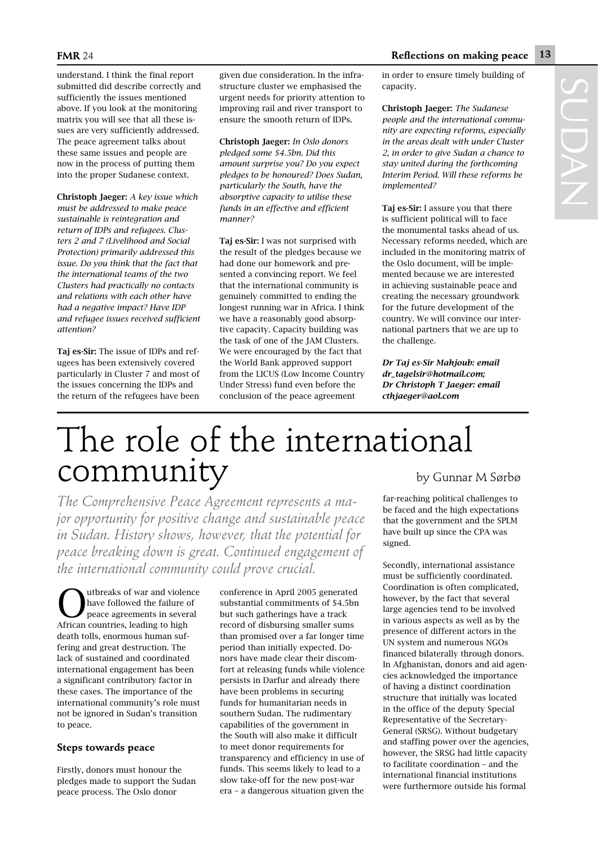## The role of the international community by Gunnar M Sørbø

*The Comprehensive Peace Agreement represents a major opportunity for positive change and sustainable peace in Sudan. History shows, however, that the potential for peace breaking down is great. Continued engagement of the international community could prove crucial.* 

**O**utbreaks of war and violence<br>have followed the failure of<br>peace agreements in several have followed the failure of African countries, leading to high death tolls, enormous human suffering and great destruction. The lack of sustained and coordinated international engagement has been a significant contributory factor in these cases. The importance of the international community's role must not be ignored in Sudan's transition to peace.

## **Steps towards peace**

Firstly, donors must honour the pledges made to support the Sudan peace process. The Oslo donor

conference in April 2005 generated substantial commitments of \$4.5bn but such gatherings have a track record of disbursing smaller sums than promised over a far longer time period than initially expected. Donors have made clear their discomfort at releasing funds while violence persists in Darfur and already there have been problems in securing funds for humanitarian needs in southern Sudan. The rudimentary capabilities of the government in the South will also make it difficult to meet donor requirements for transparency and efficiency in use of funds. This seems likely to lead to a slow take-off for the new post-war era – a dangerous situation given the

far-reaching political challenges to be faced and the high expectations that the government and the SPLM have built up since the CPA was signed.

Secondly, international assistance must be sufficiently coordinated. Coordination is often complicated, however, by the fact that several large agencies tend to be involved in various aspects as well as by the presence of different actors in the UN system and numerous NGOs financed bilaterally through donors. In Afghanistan, donors and aid agencies acknowledged the importance of having a distinct coordination structure that initially was located in the office of the deputy Special Representative of the Secretary-General (SRSG). Without budgetary and staffing power over the agencies, however, the SRSG had little capacity to facilitate coordination – and the international financial institutions were furthermore outside his formal